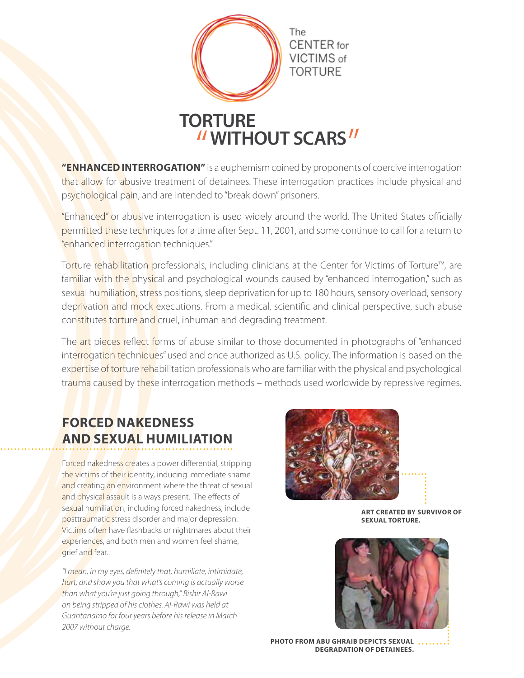

"ENHANCED INTERROGATION" is a euphemism coined by proponents of coercive interrogation that allow for abusive treatment of detainees. These interrogation practices include physical and psychological pain, and are intended to "break down" prisoners.

"Enhanced" or abusive interrogation is used widely around the world. The United States officially permitted these techniques for a time after Sept. 11, 2001, and some continue to call for a return to "enhanced interrogation techniques."

Torture rehabilitation professionals, including clinicians at the Center for Victims of Torture™, are familiar with the physical and psychological wounds caused by "enhanced interrogation," such as sexual humiliation, stress positions, sleep deprivation for up to 180 hours, sensory overload, sensory deprivation and mock executions. From a medical, scientific and clinical perspective, such abuse constitutes torture and cruel, inhuman and degrading treatment.

The art pieces reflect forms of abuse similar to those documented in photographs of "enhanced interrogation techniques" used and once authorized as U.S. policy. The information is based on the expertise of torture rehabilitation professionals who are familiar with the physical and psychological trauma caused by these interrogation methods – methods used worldwide by repressive regimes.

# **Forced Nakedness and Sexual Humiliation**

Forced nakedness creates a power differential, stripping the victims of their identity, inducing immediate shame and creating an environment where the threat of sexual and physical assault is always present. The effects of sexual humiliation, including forced nakedness, include posttraumatic stress disorder and major depression. Victims often have flashbacks or nightmares about their experiences, and both men and women feel shame, grief and fear.

*"I mean, in my eyes, definitely that, humiliate, intimidate, hurt, and show you that what's coming is actually worse than what you're just going through," Bishir Al-Rawi on being stripped of his clothes. Al-Rawi was held at Guantanamo for four years before his release in March 2007 without charge.*



**Art created by survivor of sexual torture.**



**Photo from Abu Ghraib depicts sexual degradation of detainees.**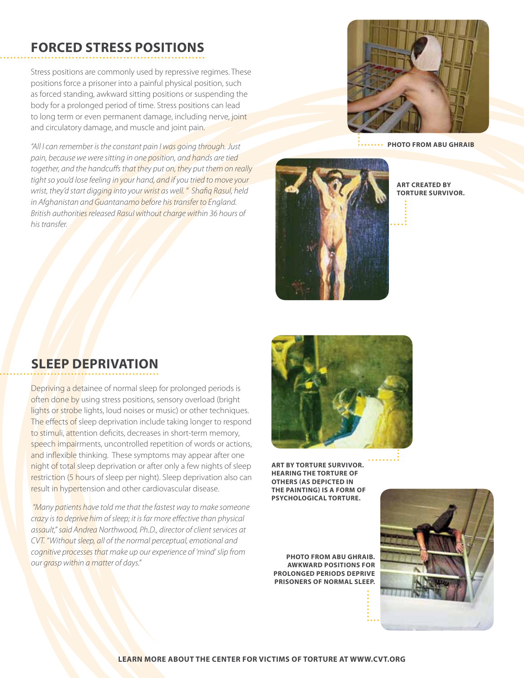## **Forced Stress Positions**

Stress positions are commonly used by repressive regimes. These positions force a prisoner into a painful physical position, such as forced standing, awkward sitting positions or suspending the body for a prolonged period of time. Stress positions can lead to long term or even permanent damage, including nerve, joint and circulatory damage, and muscle and joint pain.

*"All I can remember is the constant pain I was going through. Just pain, because we were sitting in one position, and hands are tied together, and the handcuffs that they put on, they put them on really tight so you'd lose feeling in your hand, and if you tried to move your wrist, they'd start digging into your wrist as well. " Shafiq Rasul, held in Afghanistan and Guantanamo before his transfer to England. British authorities released Rasul without charge within 36 hours of his transfer.*



**Photo from Abu Ghraib**



**Art created by torture survivor.**

### **Sleep Deprivation**

Depriving a detainee of normal sleep for prolonged periods is often done by using stress positions, sensory overload (bright lights or strobe lights, loud noises or music) or other techniques. The effects of sleep deprivation include taking longer to respond to stimuli, attention deficits, decreases in short-term memory, speech impairments, uncontrolled repetition of words or actions, and inflexible thinking. These symptoms may appear after one night of total sleep deprivation or after only a few nights of sleep restriction (5 hours of sleep per night). Sleep deprivation also can result in hypertension and other cardiovascular disease.

 *"Many patients have told me that the fastest way to make someone crazy is to deprive him of sleep; it is far more effective than physical assault," said Andrea Northwood, Ph.D., director of client services at CVT. "Without sleep, all of the normal perceptual, emotional and cognitive processes that make up our experience of 'mind' slip from our grasp within a matter of days."*



**Art by torture survivor. Hearing the torture of others (as depicted in the painting) is a form of psychological torture.** 

**Photo from Abu Ghraib. Awkward positions for prolonged periods deprive prisoners of normal sleep.**

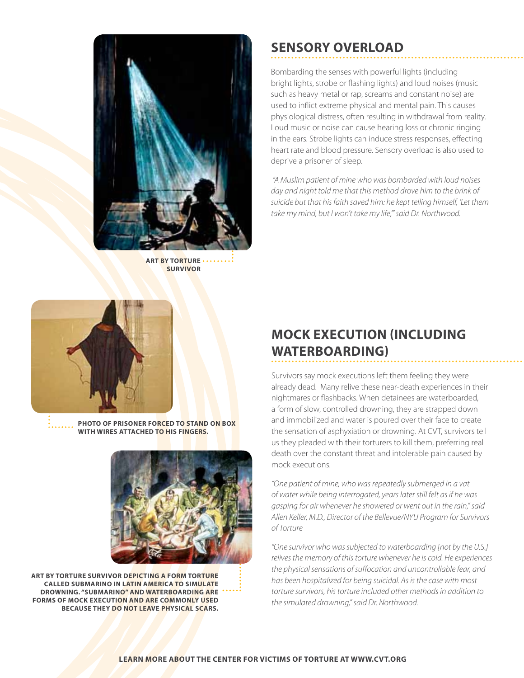

**Art by torture survivor**

## **Sensory Overload**

Bombarding the senses with powerful lights (including bright lights, strobe or flashing lights) and loud noises (music such as heavy metal or rap, screams and constant noise) are used to inflict extreme physical and mental pain. This causes physiological distress, often resulting in withdrawal from reality. Loud music or noise can cause hearing loss or chronic ringing in the ears. Strobe lights can induce stress responses, effecting heart rate and blood pressure. Sensory overload is also used to deprive a prisoner of sleep.

 *"A Muslim patient of mine who was bombarded with loud noises day and night told me that this method drove him to the brink of suicide but that his faith saved him: he kept telling himself, 'Let them take my mind, but I won't take my life,'" said Dr. Northwood.*



**Photo of prisoner forced to stand on box with wires attached to his fingers.** 



**Art by torture survivor depicting a form torture called submarino in Latin America to simulate drowning. "Submarino" and waterboarding are forms of mock execution and are commonly used because they do not leave physical scars.** 

## **Mock Execution (including waterboarding)**

Survivors say mock executions left them feeling they were already dead. Many relive these near-death experiences in their nightmares or flashbacks. When detainees are waterboarded, a form of slow, controlled drowning, they are strapped down and immobilized and water is poured over their face to create the sensation of asphyxiation or drowning. At CVT, survivors tell us they pleaded with their torturers to kill them, preferring real death over the constant threat and intolerable pain caused by mock executions.

*"One patient of mine, who was repeatedly submerged in a vat of water while being interrogated, years later still felt as if he was gasping for air whenever he showered or went out in the rain," said Allen Keller, M.D., Director of the Bellevue/NYU Program for Survivors of Torture*

*"One survivor who was subjected to waterboarding [not by the U.S.] relives the memory of this torture whenever he is cold. He experiences the physical sensations of suffocation and uncontrollable fear, and has been hospitalized for being suicidal. As is the case with most torture survivors, his torture included other methods in addition to the simulated drowning," said Dr. Northwood.*